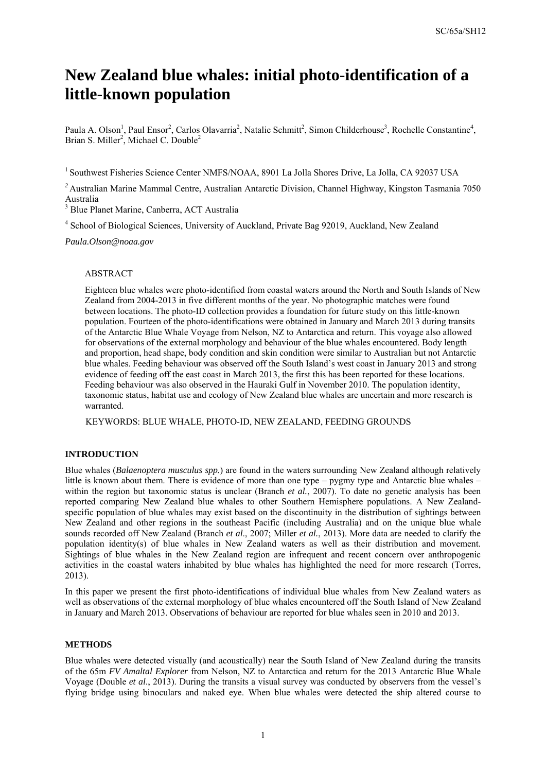# **New Zealand blue whales: initial photo-identification of a little-known population**

Paula A. Olson<sup>1</sup>, Paul Ensor<sup>2</sup>, Carlos Olavarria<sup>2</sup>, Natalie Schmitt<sup>2</sup>, Simon Childerhouse<sup>3</sup>, Rochelle Constantine<sup>4</sup>, Brian S. Miller<sup>2</sup>, Michael C. Double<sup>2</sup>

<sup>1</sup> Southwest Fisheries Science Center NMFS/NOAA, 8901 La Jolla Shores Drive, La Jolla, CA 92037 USA

<sup>2</sup> Australian Marine Mammal Centre, Australian Antarctic Division, Channel Highway, Kingston Tasmania 7050 Australia

3 Blue Planet Marine, Canberra, ACT Australia

<sup>4</sup> School of Biological Sciences, University of Auckland, Private Bag 92019, Auckland, New Zealand

*Paula.Olson@noaa.gov* 

#### ABSTRACT

Eighteen blue whales were photo-identified from coastal waters around the North and South Islands of New Zealand from 2004-2013 in five different months of the year. No photographic matches were found between locations. The photo-ID collection provides a foundation for future study on this little-known population. Fourteen of the photo-identifications were obtained in January and March 2013 during transits of the Antarctic Blue Whale Voyage from Nelson, NZ to Antarctica and return. This voyage also allowed for observations of the external morphology and behaviour of the blue whales encountered. Body length and proportion, head shape, body condition and skin condition were similar to Australian but not Antarctic blue whales. Feeding behaviour was observed off the South Island's west coast in January 2013 and strong evidence of feeding off the east coast in March 2013, the first this has been reported for these locations. Feeding behaviour was also observed in the Hauraki Gulf in November 2010. The population identity, taxonomic status, habitat use and ecology of New Zealand blue whales are uncertain and more research is warranted.

KEYWORDS: BLUE WHALE, PHOTO-ID, NEW ZEALAND, FEEDING GROUNDS

## **INTRODUCTION**

Blue whales (*Balaenoptera musculus spp.*) are found in the waters surrounding New Zealand although relatively little is known about them. There is evidence of more than one type – pygmy type and Antarctic blue whales – within the region but taxonomic status is unclear (Branch *et al.*, 2007). To date no genetic analysis has been reported comparing New Zealand blue whales to other Southern Hemisphere populations. A New Zealandspecific population of blue whales may exist based on the discontinuity in the distribution of sightings between New Zealand and other regions in the southeast Pacific (including Australia) and on the unique blue whale sounds recorded off New Zealand (Branch *et al*., 2007; Miller *et al.*, 2013). More data are needed to clarify the population identity(s) of blue whales in New Zealand waters as well as their distribution and movement. Sightings of blue whales in the New Zealand region are infrequent and recent concern over anthropogenic activities in the coastal waters inhabited by blue whales has highlighted the need for more research (Torres, 2013).

In this paper we present the first photo-identifications of individual blue whales from New Zealand waters as well as observations of the external morphology of blue whales encountered off the South Island of New Zealand in January and March 2013. Observations of behaviour are reported for blue whales seen in 2010 and 2013.

## **METHODS**

Blue whales were detected visually (and acoustically) near the South Island of New Zealand during the transits of the 65m *FV Amaltal Explorer* from Nelson, NZ to Antarctica and return for the 2013 Antarctic Blue Whale Voyage (Double *et al*., 2013). During the transits a visual survey was conducted by observers from the vessel's flying bridge using binoculars and naked eye. When blue whales were detected the ship altered course to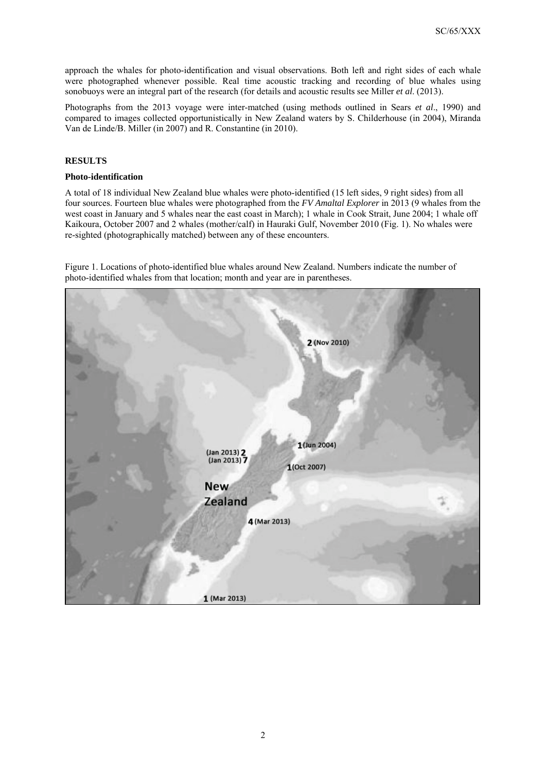approach the whales for photo-identification and visual observations. Both left and right sides of each whale were photographed whenever possible. Real time acoustic tracking and recording of blue whales using sonobuoys were an integral part of the research (for details and acoustic results see Miller *et al*. (2013).

Photographs from the 2013 voyage were inter-matched (using methods outlined in Sears *et al*., 1990) and compared to images collected opportunistically in New Zealand waters by S. Childerhouse (in 2004), Miranda Van de Linde/B. Miller (in 2007) and R. Constantine (in 2010).

## **RESULTS**

## **Photo-identification**

A total of 18 individual New Zealand blue whales were photo-identified (15 left sides, 9 right sides) from all four sources. Fourteen blue whales were photographed from the *FV Amaltal Explorer* in 2013 (9 whales from the west coast in January and 5 whales near the east coast in March); 1 whale in Cook Strait, June 2004; 1 whale off Kaikoura, October 2007 and 2 whales (mother/calf) in Hauraki Gulf, November 2010 (Fig. 1). No whales were re-sighted (photographically matched) between any of these encounters.

Figure 1. Locations of photo-identified blue whales around New Zealand. Numbers indicate the number of photo-identified whales from that location; month and year are in parentheses.

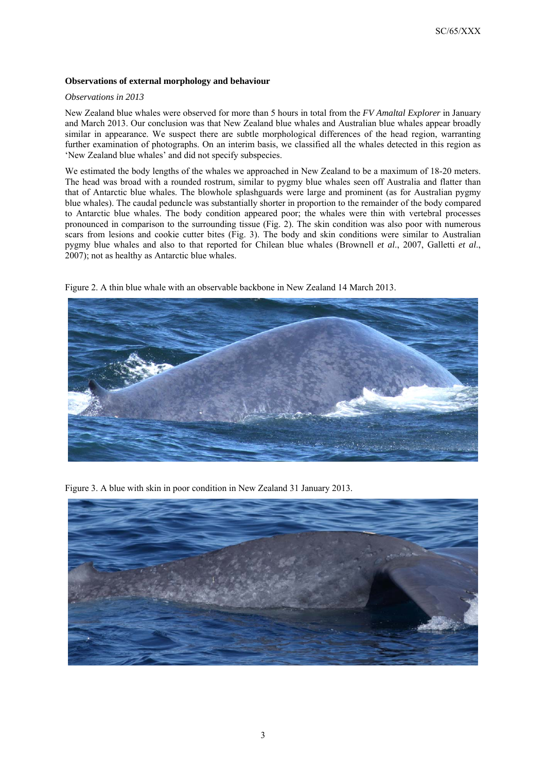## **Observations of external morphology and behaviour**

#### *Observations in 2013*

New Zealand blue whales were observed for more than 5 hours in total from the *FV Amaltal Explorer* in January and March 2013. Our conclusion was that New Zealand blue whales and Australian blue whales appear broadly similar in appearance. We suspect there are subtle morphological differences of the head region, warranting further examination of photographs. On an interim basis, we classified all the whales detected in this region as 'New Zealand blue whales' and did not specify subspecies.

We estimated the body lengths of the whales we approached in New Zealand to be a maximum of 18-20 meters. The head was broad with a rounded rostrum, similar to pygmy blue whales seen off Australia and flatter than that of Antarctic blue whales. The blowhole splashguards were large and prominent (as for Australian pygmy blue whales). The caudal peduncle was substantially shorter in proportion to the remainder of the body compared to Antarctic blue whales. The body condition appeared poor; the whales were thin with vertebral processes pronounced in comparison to the surrounding tissue (Fig. 2). The skin condition was also poor with numerous scars from lesions and cookie cutter bites (Fig. 3). The body and skin conditions were similar to Australian pygmy blue whales and also to that reported for Chilean blue whales (Brownell *et al*., 2007, Galletti *et al*., 2007); not as healthy as Antarctic blue whales.



Figure 2. A thin blue whale with an observable backbone in New Zealand 14 March 2013.

Figure 3. A blue with skin in poor condition in New Zealand 31 January 2013.

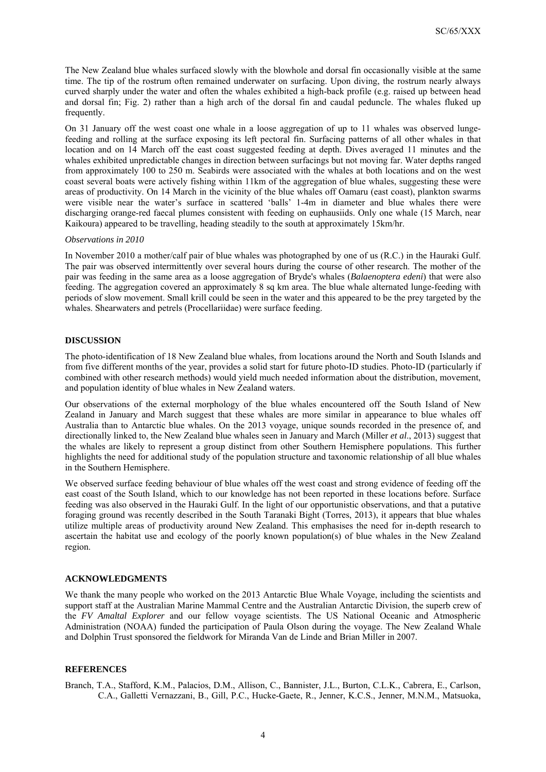The New Zealand blue whales surfaced slowly with the blowhole and dorsal fin occasionally visible at the same time. The tip of the rostrum often remained underwater on surfacing. Upon diving, the rostrum nearly always curved sharply under the water and often the whales exhibited a high-back profile (e.g. raised up between head and dorsal fin; Fig. 2) rather than a high arch of the dorsal fin and caudal peduncle. The whales fluked up frequently.

On 31 January off the west coast one whale in a loose aggregation of up to 11 whales was observed lungefeeding and rolling at the surface exposing its left pectoral fin. Surfacing patterns of all other whales in that location and on 14 March off the east coast suggested feeding at depth. Dives averaged 11 minutes and the whales exhibited unpredictable changes in direction between surfacings but not moving far. Water depths ranged from approximately 100 to 250 m. Seabirds were associated with the whales at both locations and on the west coast several boats were actively fishing within 11km of the aggregation of blue whales, suggesting these were areas of productivity. On 14 March in the vicinity of the blue whales off Oamaru (east coast), plankton swarms were visible near the water's surface in scattered 'balls' 1-4m in diameter and blue whales there were discharging orange-red faecal plumes consistent with feeding on euphausiids. Only one whale (15 March, near Kaikoura) appeared to be travelling, heading steadily to the south at approximately 15km/hr.

#### *Observations in 2010*

In November 2010 a mother/calf pair of blue whales was photographed by one of us (R.C.) in the Hauraki Gulf. The pair was observed intermittently over several hours during the course of other research. The mother of the pair was feeding in the same area as a loose aggregation of Bryde's whales (*Balaenoptera edeni*) that were also feeding. The aggregation covered an approximately 8 sq km area. The blue whale alternated lunge-feeding with periods of slow movement. Small krill could be seen in the water and this appeared to be the prey targeted by the whales. Shearwaters and petrels (Procellariidae) were surface feeding.

#### **DISCUSSION**

The photo-identification of 18 New Zealand blue whales, from locations around the North and South Islands and from five different months of the year, provides a solid start for future photo-ID studies. Photo-ID (particularly if combined with other research methods) would yield much needed information about the distribution, movement, and population identity of blue whales in New Zealand waters.

Our observations of the external morphology of the blue whales encountered off the South Island of New Zealand in January and March suggest that these whales are more similar in appearance to blue whales off Australia than to Antarctic blue whales. On the 2013 voyage, unique sounds recorded in the presence of, and directionally linked to, the New Zealand blue whales seen in January and March (Miller *et al*., 2013) suggest that the whales are likely to represent a group distinct from other Southern Hemisphere populations. This further highlights the need for additional study of the population structure and taxonomic relationship of all blue whales in the Southern Hemisphere.

We observed surface feeding behaviour of blue whales off the west coast and strong evidence of feeding off the east coast of the South Island, which to our knowledge has not been reported in these locations before. Surface feeding was also observed in the Hauraki Gulf. In the light of our opportunistic observations, and that a putative foraging ground was recently described in the South Taranaki Bight (Torres, 2013), it appears that blue whales utilize multiple areas of productivity around New Zealand. This emphasises the need for in-depth research to ascertain the habitat use and ecology of the poorly known population(s) of blue whales in the New Zealand region.

#### **ACKNOWLEDGMENTS**

We thank the many people who worked on the 2013 Antarctic Blue Whale Voyage, including the scientists and support staff at the Australian Marine Mammal Centre and the Australian Antarctic Division, the superb crew of the *FV Amaltal Explorer* and our fellow voyage scientists. The US National Oceanic and Atmospheric Administration (NOAA) funded the participation of Paula Olson during the voyage. The New Zealand Whale and Dolphin Trust sponsored the fieldwork for Miranda Van de Linde and Brian Miller in 2007.

## **REFERENCES**

Branch, T.A., Stafford, K.M., Palacios, D.M., Allison, C., Bannister, J.L., Burton, C.L.K., Cabrera, E., Carlson, C.A., Galletti Vernazzani, B., Gill, P.C., Hucke-Gaete, R., Jenner, K.C.S., Jenner, M.N.M., Matsuoka,